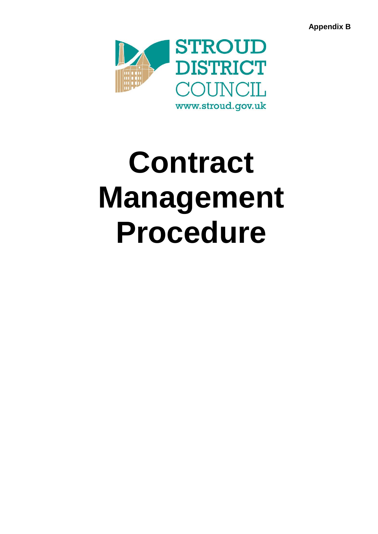**Appendix B**



# **Contract Management Procedure**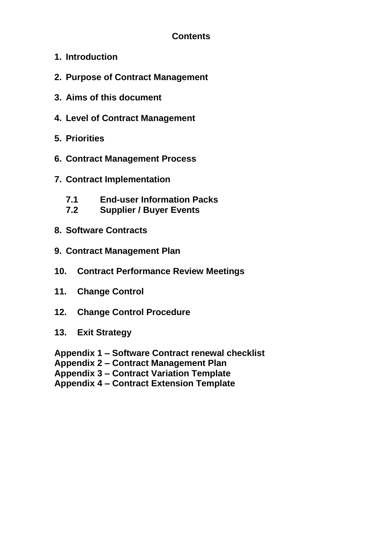# **Contents**

- **1. Introduction**
- **2. Purpose of Contract Management**
- **3. Aims of this document**
- **4. Level of Contract Management**
- **5. Priorities**
- **6. Contract Management Process**
- **7. Contract Implementation**
	- **7.1 End-user Information Packs**
	- **7.2 Supplier / Buyer Events**
- **8. Software Contracts**
- **9. Contract Management Plan**
- **10. Contract Performance Review Meetings**
- **11. Change Control**
- **12. Change Control Procedure**
- **13. Exit Strategy**

**Appendix 1 – Software Contract renewal checklist**

**Appendix 2 – Contract Management Plan**

**Appendix 3 – Contract Variation Template**

**Appendix 4 – Contract Extension Template**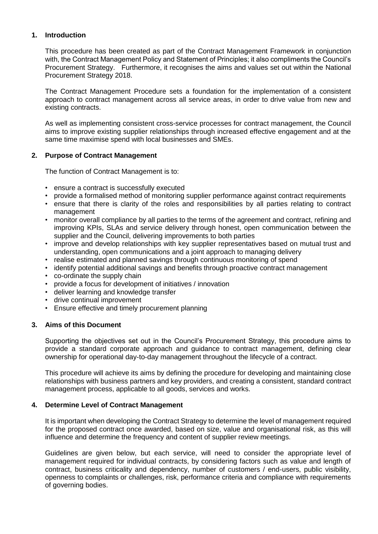# **1. Introduction**

This procedure has been created as part of the Contract Management Framework in conjunction with, the Contract Management Policy and Statement of Principles; it also compliments the Council's Procurement Strategy. Furthermore, it recognises the aims and values set out within the National Procurement Strategy 2018.

The Contract Management Procedure sets a foundation for the implementation of a consistent approach to contract management across all service areas, in order to drive value from new and existing contracts.

As well as implementing consistent cross-service processes for contract management, the Council aims to improve existing supplier relationships through increased effective engagement and at the same time maximise spend with local businesses and SMEs.

#### **2. Purpose of Contract Management**

The function of Contract Management is to:

- ensure a contract is successfully executed
- provide a formalised method of monitoring supplier performance against contract requirements
- ensure that there is clarity of the roles and responsibilities by all parties relating to contract management
- monitor overall compliance by all parties to the terms of the agreement and contract, refining and improving KPIs, SLAs and service delivery through honest, open communication between the supplier and the Council, delivering improvements to both parties
- improve and develop relationships with key supplier representatives based on mutual trust and understanding, open communications and a joint approach to managing delivery
- realise estimated and planned savings through continuous monitoring of spend
- identify potential additional savings and benefits through proactive contract management
- co-ordinate the supply chain
- provide a focus for development of initiatives / innovation
- deliver learning and knowledge transfer
- drive continual improvement
- Ensure effective and timely procurement planning

#### **3. Aims of this Document**

Supporting the objectives set out in the Council's Procurement Strategy, this procedure aims to provide a standard corporate approach and guidance to contract management, defining clear ownership for operational day-to-day management throughout the lifecycle of a contract.

This procedure will achieve its aims by defining the procedure for developing and maintaining close relationships with business partners and key providers, and creating a consistent, standard contract management process, applicable to all goods, services and works.

#### **4. Determine Level of Contract Management**

It is important when developing the Contract Strategy to determine the level of management required for the proposed contract once awarded, based on size, value and organisational risk, as this will influence and determine the frequency and content of supplier review meetings.

Guidelines are given below, but each service, will need to consider the appropriate level of management required for individual contracts, by considering factors such as value and length of contract, business criticality and dependency, number of customers / end-users, public visibility, openness to complaints or challenges, risk, performance criteria and compliance with requirements of governing bodies.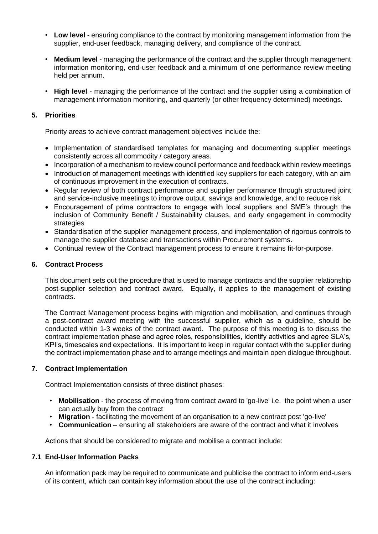- **Low level**  ensuring compliance to the contract by monitoring management information from the supplier, end-user feedback, managing delivery, and compliance of the contract.
- **Medium level**  managing the performance of the contract and the supplier through management information monitoring, end-user feedback and a minimum of one performance review meeting held per annum.
- **High level**  managing the performance of the contract and the supplier using a combination of management information monitoring, and quarterly (or other frequency determined) meetings.

# **5. Priorities**

Priority areas to achieve contract management objectives include the:

- Implementation of standardised templates for managing and documenting supplier meetings consistently across all commodity / category areas.
- Incorporation of a mechanism to review council performance and feedback within review meetings
- Introduction of management meetings with identified key suppliers for each category, with an aim of continuous improvement in the execution of contracts.
- Regular review of both contract performance and supplier performance through structured joint and service-inclusive meetings to improve output, savings and knowledge, and to reduce risk
- Encouragement of prime contractors to engage with local suppliers and SME's through the inclusion of Community Benefit / Sustainability clauses, and early engagement in commodity strategies
- Standardisation of the supplier management process, and implementation of rigorous controls to manage the supplier database and transactions within Procurement systems.
- Continual review of the Contract management process to ensure it remains fit-for-purpose.

# **6. Contract Process**

This document sets out the procedure that is used to manage contracts and the supplier relationship post-supplier selection and contract award. Equally, it applies to the management of existing contracts.

The Contract Management process begins with migration and mobilisation, and continues through a post-contract award meeting with the successful supplier, which as a guideline, should be conducted within 1-3 weeks of the contract award. The purpose of this meeting is to discuss the contract implementation phase and agree roles, responsibilities, identify activities and agree SLA's, KPI's, timescales and expectations. It is important to keep in regular contact with the supplier during the contract implementation phase and to arrange meetings and maintain open dialogue throughout.

# **7. Contract Implementation**

Contract Implementation consists of three distinct phases:

- **Mobilisation**  the process of moving from contract award to 'go-live' i.e. the point when a user can actually buy from the contract
- **Migration**  facilitating the movement of an organisation to a new contract post 'go-live'
- **Communication**  ensuring all stakeholders are aware of the contract and what it involves

Actions that should be considered to migrate and mobilise a contract include:

# **7.1 End-User Information Packs**

An information pack may be required to communicate and publicise the contract to inform end-users of its content, which can contain key information about the use of the contract including: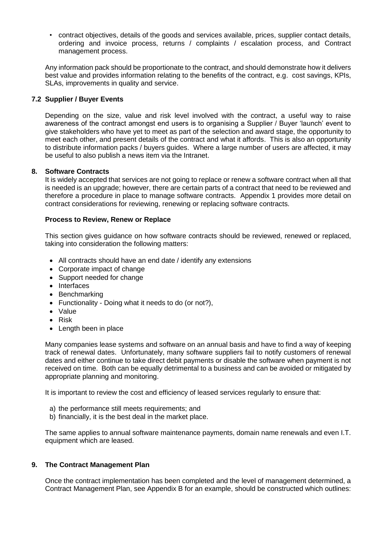• contract objectives, details of the goods and services available, prices, supplier contact details, ordering and invoice process, returns / complaints / escalation process, and Contract management process.

Any information pack should be proportionate to the contract, and should demonstrate how it delivers best value and provides information relating to the benefits of the contract, e.g. cost savings, KPIs, SLAs, improvements in quality and service.

# **7.2 Supplier / Buyer Events**

Depending on the size, value and risk level involved with the contract, a useful way to raise awareness of the contract amongst end users is to organising a Supplier / Buyer 'launch' event to give stakeholders who have yet to meet as part of the selection and award stage, the opportunity to meet each other, and present details of the contract and what it affords. This is also an opportunity to distribute information packs / buyers guides. Where a large number of users are affected, it may be useful to also publish a news item via the Intranet.

# **8. Software Contracts**

It is widely accepted that services are not going to replace or renew a software contract when all that is needed is an upgrade; however, there are certain parts of a contract that need to be reviewed and therefore a procedure in place to manage software contracts. Appendix 1 provides more detail on contract considerations for reviewing, renewing or replacing software contracts.

#### **Process to Review, Renew or Replace**

This section gives guidance on how software contracts should be reviewed, renewed or replaced, taking into consideration the following matters:

- All contracts should have an end date / identify any extensions
- Corporate impact of change
- Support needed for change
- Interfaces
- Benchmarking
- Functionality Doing what it needs to do (or not?),
- Value
- Risk
- Length been in place

Many companies lease systems and software on an annual basis and have to find a way of keeping track of renewal dates. Unfortunately, many software suppliers fail to notify customers of renewal dates and either continue to take direct debit payments or disable the software when payment is not received on time. Both can be equally detrimental to a business and can be avoided or mitigated by appropriate planning and monitoring.

It is important to review the cost and efficiency of leased services regularly to ensure that:

- a) the performance still meets requirements; and
- b) financially, it is the best deal in the market place.

The same applies to annual software maintenance payments, domain name renewals and even I.T. equipment which are leased.

# **9. The Contract Management Plan**

Once the contract implementation has been completed and the level of management determined, a Contract Management Plan, see Appendix B for an example, should be constructed which outlines: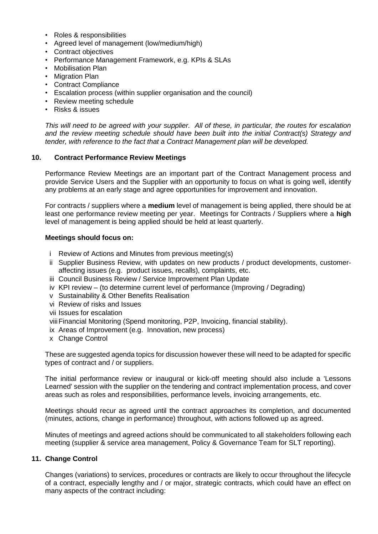- Roles & responsibilities
- Agreed level of management (low/medium/high)
- Contract objectives
- Performance Management Framework, e.g. KPIs & SLAs
- Mobilisation Plan
- Migration Plan
- Contract Compliance
- Escalation process (within supplier organisation and the council)
- Review meeting schedule
- Risks & issues

*This will need to be agreed with your supplier. All of these, in particular, the routes for escalation and the review meeting schedule should have been built into the initial Contract(s) Strategy and tender, with reference to the fact that a Contract Management plan will be developed.* 

# **10. Contract Performance Review Meetings**

Performance Review Meetings are an important part of the Contract Management process and provide Service Users and the Supplier with an opportunity to focus on what is going well, identify any problems at an early stage and agree opportunities for improvement and innovation.

For contracts / suppliers where a **medium** level of management is being applied, there should be at least one performance review meeting per year. Meetings for Contracts / Suppliers where a **high** level of management is being applied should be held at least quarterly.

#### **Meetings should focus on:**

- i Review of Actions and Minutes from previous meeting(s)
- ii Supplier Business Review, with updates on new products / product developments, customeraffecting issues (e.g. product issues, recalls), complaints, etc.
- iii Council Business Review / Service Improvement Plan Update
- iv KPI review (to determine current level of performance (Improving / Degrading)
- v Sustainability & Other Benefits Realisation
- vi Review of risks and Issues
- vii Issues for escalation
- viiiFinancial Monitoring (Spend monitoring, P2P, Invoicing, financial stability).
- ix Areas of Improvement (e.g. Innovation, new process)
- x Change Control

These are suggested agenda topics for discussion however these will need to be adapted for specific types of contract and / or suppliers.

The initial performance review or inaugural or kick-off meeting should also include a 'Lessons Learned' session with the supplier on the tendering and contract implementation process, and cover areas such as roles and responsibilities, performance levels, invoicing arrangements, etc.

Meetings should recur as agreed until the contract approaches its completion, and documented (minutes, actions, change in performance) throughout, with actions followed up as agreed.

Minutes of meetings and agreed actions should be communicated to all stakeholders following each meeting (supplier & service area management, Policy & Governance Team for SLT reporting).

#### **11. Change Control**

Changes (variations) to services, procedures or contracts are likely to occur throughout the lifecycle of a contract, especially lengthy and / or major, strategic contracts, which could have an effect on many aspects of the contract including: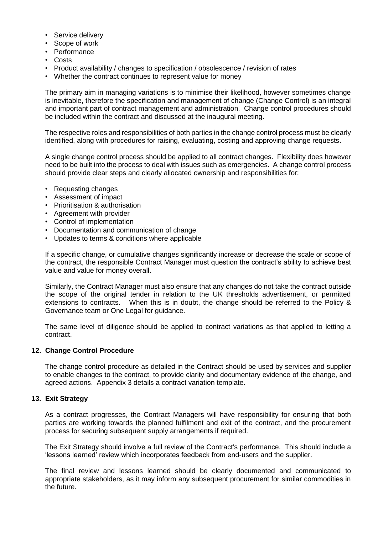- Service delivery
- Scope of work
- Performance
- Costs
- Product availability / changes to specification / obsolescence / revision of rates
- Whether the contract continues to represent value for money

The primary aim in managing variations is to minimise their likelihood, however sometimes change is inevitable, therefore the specification and management of change (Change Control) is an integral and important part of contract management and administration. Change control procedures should be included within the contract and discussed at the inaugural meeting.

The respective roles and responsibilities of both parties in the change control process must be clearly identified, along with procedures for raising, evaluating, costing and approving change requests.

A single change control process should be applied to all contract changes. Flexibility does however need to be built into the process to deal with issues such as emergencies. A change control process should provide clear steps and clearly allocated ownership and responsibilities for:

- Requesting changes
- Assessment of impact
- Prioritisation & authorisation
- Agreement with provider
- Control of implementation
- Documentation and communication of change
- Updates to terms & conditions where applicable

If a specific change, or cumulative changes significantly increase or decrease the scale or scope of the contract, the responsible Contract Manager must question the contract's ability to achieve best value and value for money overall.

Similarly, the Contract Manager must also ensure that any changes do not take the contract outside the scope of the original tender in relation to the UK thresholds advertisement, or permitted extensions to contracts. When this is in doubt, the change should be referred to the Policy & Governance team or One Legal for guidance.

The same level of diligence should be applied to contract variations as that applied to letting a contract.

#### **12. Change Control Procedure**

The change control procedure as detailed in the Contract should be used by services and supplier to enable changes to the contract, to provide clarity and documentary evidence of the change, and agreed actions. Appendix 3 details a contract variation template.

## **13. Exit Strategy**

As a contract progresses, the Contract Managers will have responsibility for ensuring that both parties are working towards the planned fulfilment and exit of the contract, and the procurement process for securing subsequent supply arrangements if required.

The Exit Strategy should involve a full review of the Contract's performance. This should include a 'lessons learned' review which incorporates feedback from end-users and the supplier.

The final review and lessons learned should be clearly documented and communicated to appropriate stakeholders, as it may inform any subsequent procurement for similar commodities in the future.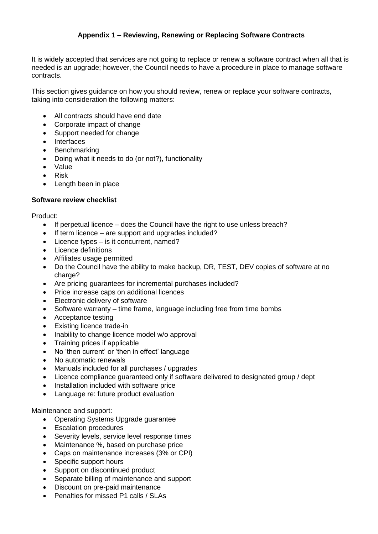# **Appendix 1 – Reviewing, Renewing or Replacing Software Contracts**

It is widely accepted that services are not going to replace or renew a software contract when all that is needed is an upgrade; however, the Council needs to have a procedure in place to manage software contracts.

This section gives guidance on how you should review, renew or replace your software contracts, taking into consideration the following matters:

- All contracts should have end date
- Corporate impact of change
- Support needed for change
- Interfaces
- **Benchmarking**
- Doing what it needs to do (or not?), functionality
- Value
- Risk
- Length been in place

#### **Software review checklist**

Product:

- If perpetual licence does the Council have the right to use unless breach?
- If term licence are support and upgrades included?
- Licence types is it concurrent, named?
- Licence definitions
- Affiliates usage permitted
- Do the Council have the ability to make backup, DR, TEST, DEV copies of software at no charge?
- Are pricing guarantees for incremental purchases included?
- Price increase caps on additional licences
- Electronic delivery of software
- Software warranty time frame, language including free from time bombs
- Acceptance testing
- Existing licence trade-in
- Inability to change licence model w/o approval
- Training prices if applicable
- No 'then current' or 'then in effect' language
- No automatic renewals
- Manuals included for all purchases / upgrades
- Licence compliance guaranteed only if software delivered to designated group / dept
- Installation included with software price
- Language re: future product evaluation

# Maintenance and support:

- Operating Systems Upgrade guarantee
- Escalation procedures
- Severity levels, service level response times
- Maintenance %, based on purchase price
- Caps on maintenance increases (3% or CPI)
- Specific support hours
- Support on discontinued product
- Separate billing of maintenance and support
- Discount on pre-paid maintenance
- Penalties for missed P1 calls / SLAs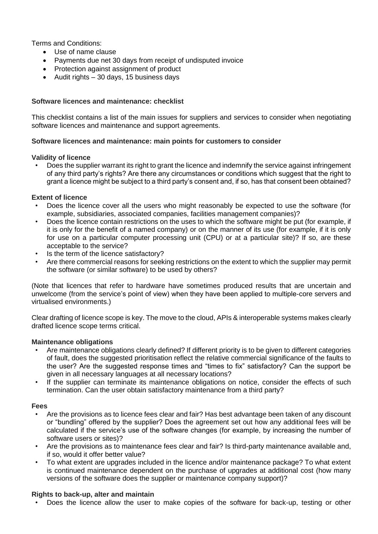Terms and Conditions:

- Use of name clause
- Payments due net 30 days from receipt of undisputed invoice
- Protection against assignment of product
- $\bullet$  Audit rights 30 days, 15 business days

# **Software licences and maintenance: checklist**

This checklist contains a list of the main issues for suppliers and services to consider when negotiating software licences and maintenance and support agreements.

# **Software licences and maintenance: main points for customers to consider**

#### **Validity of licence**

• Does the supplier warrant its right to grant the licence and indemnify the service against infringement of any third party's rights? Are there any circumstances or conditions which suggest that the right to grant a licence might be subject to a third party's consent and, if so, has that consent been obtained?

#### **Extent of licence**

- Does the licence cover all the users who might reasonably be expected to use the software (for example, subsidiaries, associated companies, facilities management companies)?
- Does the licence contain restrictions on the uses to which the software might be put (for example, if it is only for the benefit of a named company) or on the manner of its use (for example, if it is only for use on a particular computer processing unit (CPU) or at a particular site)? If so, are these acceptable to the service?
- Is the term of the licence satisfactory?
- Are there commercial reasons for seeking restrictions on the extent to which the supplier may permit the software (or similar software) to be used by others?

(Note that licences that refer to hardware have sometimes produced results that are uncertain and unwelcome (from the service's point of view) when they have been applied to multiple-core servers and virtualised environments.)

Clear drafting of licence scope is key. The move to the cloud, APIs & interoperable systems makes clearly drafted licence scope terms critical.

#### **Maintenance obligations**

- Are maintenance obligations clearly defined? If different priority is to be given to different categories of fault, does the suggested prioritisation reflect the relative commercial significance of the faults to the user? Are the suggested response times and "times to fix" satisfactory? Can the support be given in all necessary languages at all necessary locations?
- If the supplier can terminate its maintenance obligations on notice, consider the effects of such termination. Can the user obtain satisfactory maintenance from a third party?

#### **Fees**

- Are the provisions as to licence fees clear and fair? Has best advantage been taken of any discount or "bundling" offered by the supplier? Does the agreement set out how any additional fees will be calculated if the service's use of the software changes (for example, by increasing the number of software users or sites)?
- Are the provisions as to maintenance fees clear and fair? Is third-party maintenance available and, if so, would it offer better value?
- To what extent are upgrades included in the licence and/or maintenance package? To what extent is continued maintenance dependent on the purchase of upgrades at additional cost (how many versions of the software does the supplier or maintenance company support)?

#### **Rights to back-up, alter and maintain**

• Does the licence allow the user to make copies of the software for back-up, testing or other